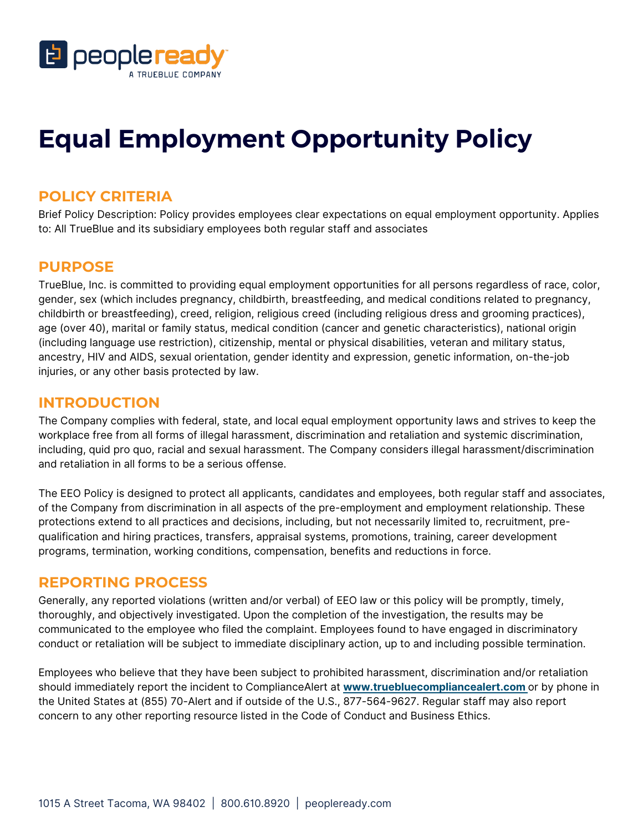

# **Equal Employment Opportunity Policy**

#### **POLICY CRITERIA**

 Brief Policy Description: Policy provides employees clear expectations on equal employment opportunity. Applies to: All TrueBlue and its subsidiary employees both regular staff and associates

### **PURPOSE**

 TrueBlue, Inc. is committed to providing equal employment opportunities for all persons regardless of race, color, gender, sex (which includes pregnancy, childbirth, breastfeeding, and medical conditions related to pregnancy, childbirth or breastfeeding), creed, religion, religious creed (including religious dress and grooming practices), age (over 40), marital or family status, medical condition (cancer and genetic characteristics), national origin (including language use restriction), citizenship, mental or physical disabilities, veteran and military status, ancestry, HIV and AIDS, sexual orientation, gender identity and expression, genetic information, on-the-job injuries, or any other basis protected by law.

### **INTRODUCTION**

 The Company complies with federal, state, and local equal employment opportunity laws and strives to keep the workplace free from all forms of illegal harassment, discrimination and retaliation and systemic discrimination, and retaliation in all forms to be a serious offense. including, quid pro quo, racial and sexual harassment. The Company considers illegal harassment/discrimination

 The EEO Policy is designed to protect all applicants, candidates and employees, both regular staff and associates, of the Company from discrimination in all aspects of the pre-employment and employment relationship. These protections extend to all practices and decisions, including, but not necessarily limited to, recruitment, pre- qualification and hiring practices, transfers, appraisal systems, promotions, training, career development programs, termination, working conditions, compensation, benefits and reductions in force.

#### **REPORTING PROCESS**

 Generally, any reported violations (written and/or verbal) of EEO law or this policy will be promptly, timely, thoroughly, and objectively investigated. Upon the completion of the investigation, the results may be communicated to the employee who filed the complaint. Employees found to have engaged in discriminatory conduct or retaliation will be subject to immediate disciplinary action, up to and including possible termination.

 Employees who believe that they have been subject to prohibited harassment, discrimination and/or retaliation should immediately report the incident to ComplianceAlert at **<www.truebluecompliancealert.com>**or by phone in the United States at (855) 70-Alert and if outside of the U.S., 877-564-9627. Regular staff may also report concern to any other reporting resource listed in the Code of Conduct and Business Ethics.